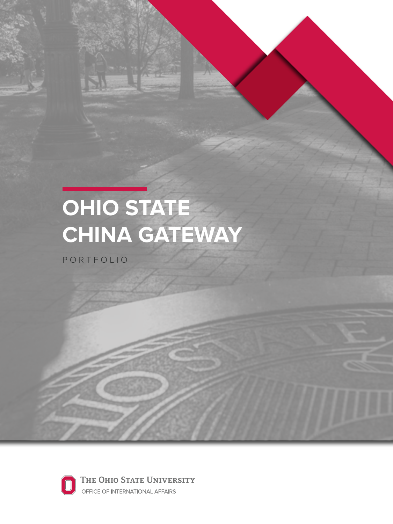# OHIO STATE<br>CHINA GATEWAY

PORTFOLIO

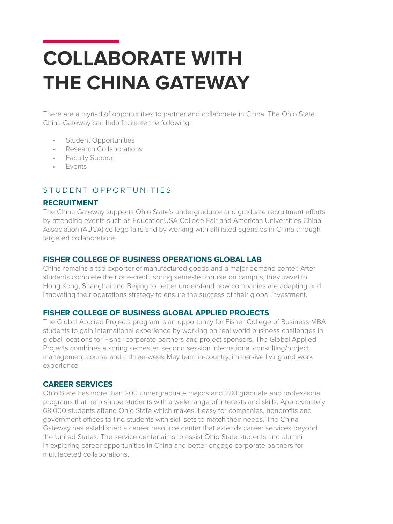# **COLLABORATE WITH THE CHINA GATEWAY**

There are a myriad of opportunities to partner and collaborate in China. The Ohio State China Gateway can help facilitate the following:

- Student Opportunities
- Research Collaborations
- Faculty Support
- Events

#### STUDENT OPPORTUNITIES

#### **RECRUITMENT**

The China Gateway supports Ohio State's undergraduate and graduate recruitment efforts by attending events such as EducationUSA College Fair and American Universities China Association (AUCA) college fairs and by working with affiliated agencies in China through targeted collaborations.

#### **FISHER COLLEGE OF BUSINESS OPERATIONS GLOBAL LAB**

China remains a top exporter of manufactured goods and a major demand center. After students complete their one-credit spring semester course on campus, they travel to Hong Kong, Shanghai and Beijing to better understand how companies are adapting and innovating their operations strategy to ensure the success of their global investment.

#### **FISHER COLLEGE OF BUSINESS GLOBAL APPLIED PROJECTS**

The Global Applied Projects program is an opportunity for Fisher College of Business MBA students to gain international experience by working on real world business challenges in global locations for Fisher corporate partners and project sponsors. The Global Applied Projects combines a spring semester, second session international consulting/project management course and a three-week May term in-country, immersive living and work experience.

#### **CAREER SERVICES**

Ohio State has more than 200 undergraduate majors and 280 graduate and professional programs that help shape students with a wide range of interests and skills. Approximately 68,000 students attend Ohio State which makes it easy for companies, nonprofits and government offices to find students with skill sets to match their needs. The China Gateway has established a career resource center that extends career services beyond the United States. The service center aims to assist Ohio State students and alumni in exploring career opportunities in China and better engage corporate partners for multifaceted collaborations.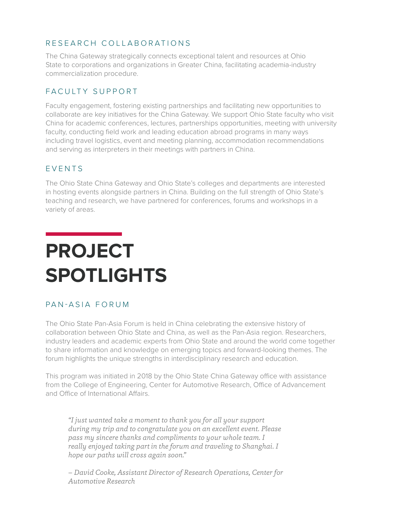#### RESEARCH COLLABORATIONS

The China Gateway strategically connects exceptional talent and resources at Ohio State to corporations and organizations in Greater China, facilitating academia-industry commercialization procedure.

#### FACULTY SUPPORT

Faculty engagement, fostering existing partnerships and facilitating new opportunities to collaborate are key initiatives for the China Gateway. We support Ohio State faculty who visit China for academic conferences, lectures, partnerships opportunities, meeting with university faculty, conducting field work and leading education abroad programs in many ways including travel logistics, event and meeting planning, accommodation recommendations and serving as interpreters in their meetings with partners in China.

#### EVENTS

The Ohio State China Gateway and Ohio State's colleges and departments are interested in hosting events alongside partners in China. Building on the full strength of Ohio State's teaching and research, we have partnered for conferences, forums and workshops in a variety of areas.

# **PROJECT SPOTLIGHTS**

## PAN-ASIA FORUM

The Ohio State Pan-Asia Forum is held in China celebrating the extensive history of collaboration between Ohio State and China, as well as the Pan-Asia region. Researchers, industry leaders and academic experts from Ohio State and around the world come together to share information and knowledge on emerging topics and forward-looking themes. The forum highlights the unique strengths in interdisciplinary research and education.

This program was initiated in 2018 by the Ohio State China Gateway office with assistance from the College of Engineering, Center for Automotive Research, Office of Advancement and Office of International Affairs.

*"I just wanted take a moment to thank you for all your support during my trip and to congratulate you on an excellent event. Please pass my sincere thanks and compliments to your whole team. I really enjoyed taking part in the forum and traveling to Shanghai. I hope our paths will cross again soon."* 

*– David Cooke, Assistant Director of Research Operations, Center for Automotive Research*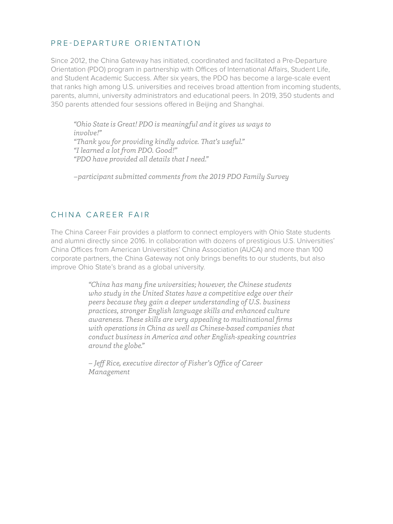#### PRE-DEPARTURE ORIENTATION

Since 2012, the China Gateway has initiated, coordinated and facilitated a Pre-Departure Orientation (PDO) program in partnership with Offices of International Affairs, Student Life, and Student Academic Success. After six years, the PDO has become a large-scale event that ranks high among U.S. universities and receives broad attention from incoming students, parents, alumni, university administrators and educational peers. In 2019, 350 students and 350 parents attended four sessions offered in Beijing and Shanghai.

*"Ohio State is Great! PDO is meaningful and it gives us ways to involve!" "Thank you for providing kindly advice. That's useful." "I learned a lot from PDO. Good!" "PDO have provided all details that I need."* 

*–participant submitted comments from the 2019 PDO Family Survey*

#### CHINA CAREER FAIR

The China Career Fair provides a platform to connect employers with Ohio State students and alumni directly since 2016. In collaboration with dozens of prestigious U.S. Universities' China Offices from American Universities' China Association (AUCA) and more than 100 corporate partners, the China Gateway not only brings benefits to our students, but also improve Ohio State's brand as a global university.

> *"China has many fine universities; however, the Chinese students who study in the United States have a competitive edge over their peers because they gain a deeper understanding of U.S. business practices, stronger English language skills and enhanced culture awareness. These skills are very appealing to multinational firms with operations in China as well as Chinese-based companies that conduct business in America and other English-speaking countries around the globe."*

*– Jeff Rice, executive director of Fisher's Office of Career Management*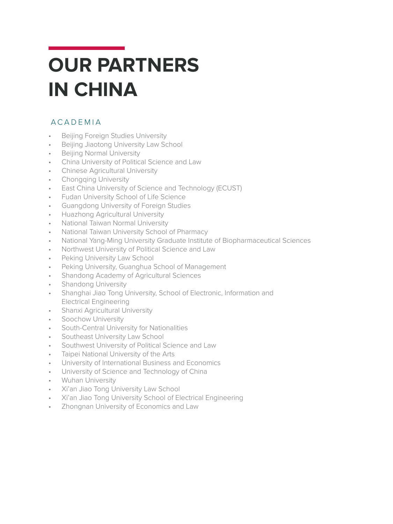# **OUR PARTNERS IN CHINA**

## ACADEMIA

- Beijing Foreign Studies University
- Beijing Jiaotong University Law School
- Beijing Normal University
- China University of Political Science and Law
- Chinese Agricultural University
- Chongqing University
- East China University of Science and Technology (ECUST)
- Fudan University School of Life Science
- Guangdong University of Foreign Studies
- Huazhong Agricultural University
- National Taiwan Normal University
- National Taiwan University School of Pharmacy
- National Yang-Ming University Graduate Institute of Biopharmaceutical Sciences
- Northwest University of Political Science and Law
- Peking University Law School
- Peking University, Guanghua School of Management
- Shandong Academy of Agricultural Sciences
- Shandong University
- Shanghai Jiao Tong University, School of Electronic, Information and Electrical Engineering
- Shanxi Agricultural University
- Soochow University
- South-Central University for Nationalities
- Southeast University Law School
- Southwest University of Political Science and Law
- Taipei National University of the Arts
- University of International Business and Economics
- University of Science and Technology of China
- Wuhan University
- Xi'an Jiao Tong University Law School
- Xi'an Jiao Tong University School of Electrical Engineering
- Zhongnan University of Economics and Law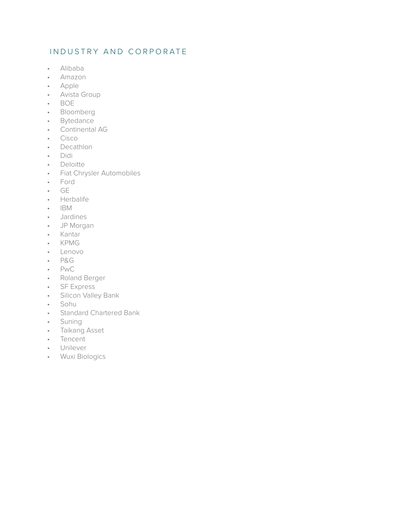#### INDUSTRY AND CORPORATE

- Alibaba
- Amazon
- Apple
- Avista Group
- BOE
- Bloomberg
- Bytedance
- Continental AG
- Cisco
- Decathlon
- Didi
- Deloitte
- Fiat Chrysler Automobiles
- Ford
- GE
- Herbalife
- IBM
- Jardines
- JP Morgan
- Kantar
- KPMG
- Lenovo
- P&G
- PwC
- Roland Berger
- SF Express
- Silicon Valley Bank
- Sohu
- Standard Chartered Bank
- Suning
- Taikang Asset
- Tencent
- Unilever
- Wuxi Biologics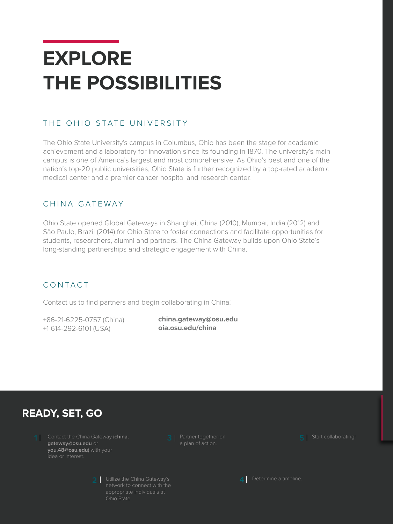# **EXPLORE THE POSSIBILITIES**

## THE OHIO STATE UNIVERSITY

The Ohio State University's campus in Columbus, Ohio has been the stage for academic achievement and a laboratory for innovation since its founding in 1870. The university's main campus is one of America's largest and most comprehensive. As Ohio's best and one of the nation's top-20 public universities, Ohio State is further recognized by a top-rated academic medical center and a premier cancer hospital and research center.

#### CHINA GATEWAY

Ohio State opened Global Gateways in Shanghai, China (2010), Mumbai, India (2012) and São Paulo, Brazil (2014) for Ohio State to foster connections and facilitate opportunities for students, researchers, alumni and partners. The China Gateway builds upon Ohio State's long-standing partnerships and strategic engagement with China.

## CONTACT

Contact us to find partners and begin collaborating in China!

+86-21-6225-0757 (China) +1 614-292-6101 (USA)

**china.gateway@osu.edu oia.osu.edu/china**

## **READY, SET, GO**

**1** Contact the China Gateway (**china. 5 gateway@osu.edu** or **you.48@osu.edu**) with your idea or interest.

a plan of action.

**5** Start collaborating!